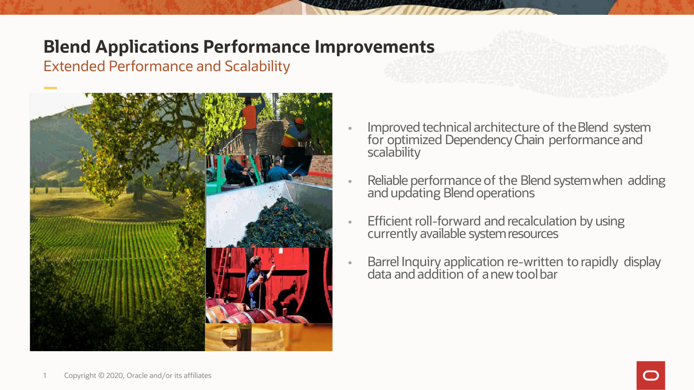## **Blend Applications Performance Improvements**

Extended Performance and Scalability



- Improved technical architecture of the Blend system for optimized Dependency Chain performance and scalability
- Reliable performance of the Blend systemwhen adding and updating Blend operations
- Efficient roll-forward and recalculation by using currently available systemresources
- Barrel Inquiry application re-written torapidly display data and addition of a new toolbar